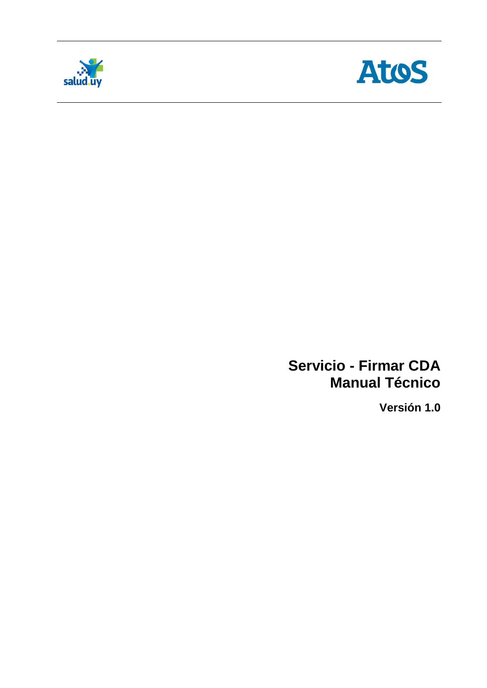



## **Servicio - Firmar CDA Manual Técnico**

**Versión 1.0**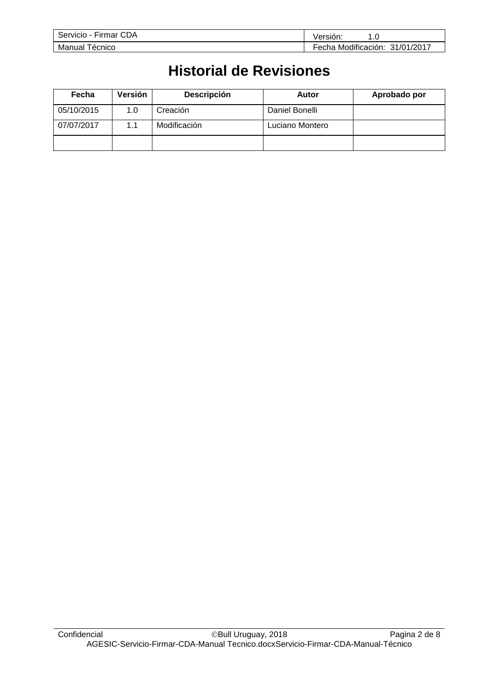| --<br>CDA<br>Servicio<br>Firmar | 'ersión.<br>. . ب                     |
|---------------------------------|---------------------------------------|
| Manual<br>ecnico                | Modificación:<br>31/01/2017<br>Fecha. |

# **Historial de Revisiones**

| Fecha      | Versión | Descripción  | Autor           | Aprobado por |
|------------|---------|--------------|-----------------|--------------|
| 05/10/2015 | 1.0     | Creación     | Daniel Bonelli  |              |
| 07/07/2017 | 1.1     | Modificación | Luciano Montero |              |
|            |         |              |                 |              |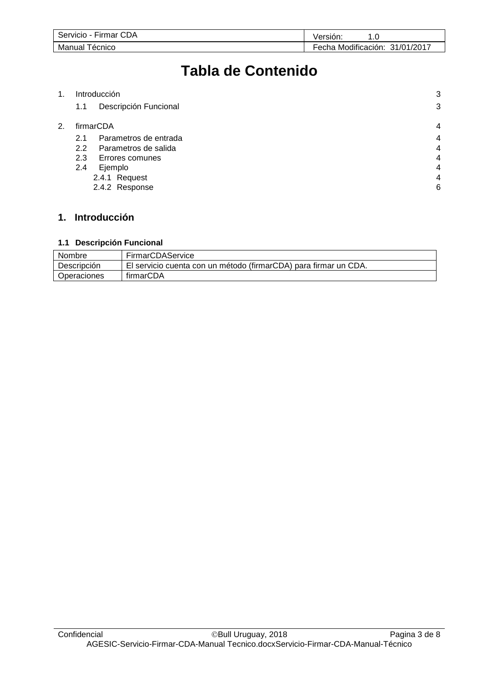| --<br><b>CDA</b><br>Servicio<br>Firmar | 0.5<br>Version.                                  |
|----------------------------------------|--------------------------------------------------|
| Manual<br>ecnico                       | $\cdots$<br>31/01/2017<br>Fecha<br>Modificación: |

# **Tabla de Contenido**

| 1. |     | Introducción          | 3 |
|----|-----|-----------------------|---|
|    | 1.1 | Descripción Funcional | 3 |
| 2. |     | firmarCDA             | 4 |
|    | 2.1 | Parametros de entrada | 4 |
|    | 2.2 | Parametros de salida  | 4 |
|    | 2.3 | Errores comunes       | 4 |
|    | 2.4 | Ejemplo               | 4 |
|    |     | 2.4.1 Request         | 4 |
|    |     | 2.4.2 Response        | 6 |
|    |     |                       |   |

## **1. Introducción**

#### **1.1 Descripción Funcional**

| Nombre      | FirmarCDAService                                                 |
|-------------|------------------------------------------------------------------|
| Descripción | El servicio cuenta con un método (firmarCDA) para firmar un CDA. |
| Operaciones | firmarCDA                                                        |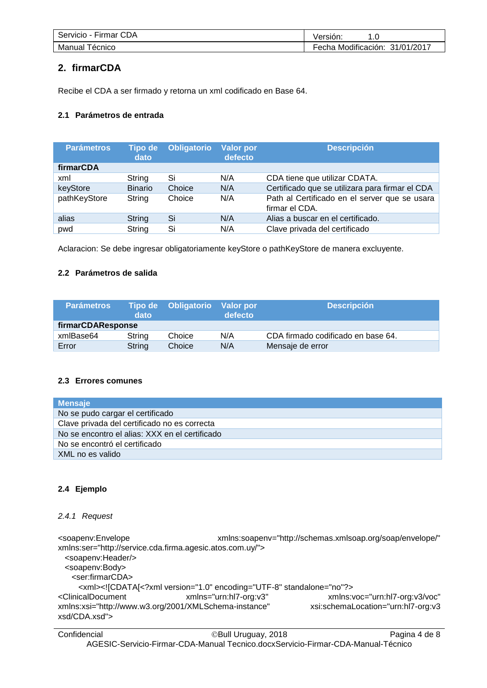| CDA<br>Servicio -<br>∤ Firmar | /ersion:<br>. . U                    |
|-------------------------------|--------------------------------------|
| écnico <sup>.</sup><br>Manual | Modificación:<br>31/01/2017<br>Fecha |

### **2. firmarCDA**

Recibe el CDA a ser firmado y retorna un xml codificado en Base 64.

### **2.1 Parámetros de entrada**

| <b>Parámetros</b> | <b>Tipo de</b><br>dato | <b>Obligatorio</b> | <b>Valor por</b><br>defecto | <b>Descripción</b>                                              |
|-------------------|------------------------|--------------------|-----------------------------|-----------------------------------------------------------------|
| firmarCDA         |                        |                    |                             |                                                                 |
| xml               | String                 | Si                 | N/A                         | CDA tiene que utilizar CDATA.                                   |
| keyStore          | <b>Binario</b>         | Choice             | N/A                         | Certificado que se utilizara para firmar el CDA                 |
| pathKeyStore      | String                 | Choice             | N/A                         | Path al Certificado en el server que se usara<br>firmar el CDA. |
| alias             | String                 | Si                 | N/A                         | Alias a buscar en el certificado.                               |
| pwd               | String                 | Si                 | N/A                         | Clave privada del certificado                                   |

Aclaracion: Se debe ingresar obligatoriamente keyStore o pathKeyStore de manera excluyente.

#### **2.2 Parámetros de salida**

| <b>Parámetros</b> | dato   | Tipo de Obligatorio | Valor por<br>defecto | <b>Descripción</b>                 |
|-------------------|--------|---------------------|----------------------|------------------------------------|
| firmarCDAResponse |        |                     |                      |                                    |
| xmlBase64         | String | Choice              | N/A                  | CDA firmado codificado en base 64. |
| Error             | String | Choice              | N/A                  | Mensaje de error                   |

#### **2.3 Errores comunes**

| <b>Mensaje</b>                                 |
|------------------------------------------------|
| No se pudo cargar el certificado               |
| Clave privada del certificado no es correcta   |
| No se encontro el alias: XXX en el certificado |
| No se encontró el certificado                  |
| XML no es valido                               |

### **2.4 Ejemplo**

#### *2.4.1 Request*

<soapenv:Envelope xmlns:soapenv="http://schemas.xmlsoap.org/soap/envelope/" xmlns:ser="http://service.cda.firma.agesic.atos.com.uy/"> <soapenv:Header/> <soapenv:Body> <ser:firmarCDA> <xml><![CDATA[<?xml version="1.0" encoding="UTF-8" standalone="no"?> <ClinicalDocument xmlns="urn:hl7-org:v3" xmlns:voc="urn:hl7-org:v3/voc" xmlns:xsi="http://www.w3.org/2001/XMLSchema-instance" xsi:schemaLocation="urn:hl7-org:v3 xsd/CDA.xsd">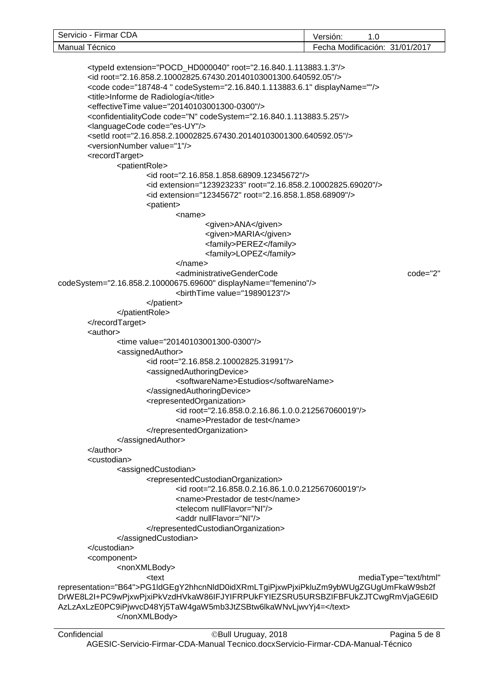| $- \cdot$<br>CDA<br>Servicio<br>Firmar | . .<br>Version.<br>.v                                                             |
|----------------------------------------|-----------------------------------------------------------------------------------|
| ecnico<br>Manual                       | $\cdot$ $\cdot$<br>$\cdots$<br>31/01/2017<br><sup>≔</sup> echa .<br>Modificación: |

```
<typeId extension="POCD_HD000040" root="2.16.840.1.113883.1.3"/>
       <id root="2.16.858.2.10002825.67430.20140103001300.640592.05"/>
       <code code="18748-4 " codeSystem="2.16.840.1.113883.6.1" displayName=""/>
       <title>Informe de Radiología</title>
       <effectiveTime value="20140103001300-0300"/>
       <confidentialityCode code="N" codeSystem="2.16.840.1.113883.5.25"/>
       <languageCode code="es-UY"/>
       <setId root="2.16.858.2.10002825.67430.20140103001300.640592.05"/>
       <versionNumber value="1"/>
       <recordTarget>
              <patientRole>
                     <id root="2.16.858.1.858.68909.12345672"/>
                     <id extension="123923233" root="2.16.858.2.10002825.69020"/>
                     <id extension="12345672" root="2.16.858.1.858.68909"/>
                     <patient>
                            <name>
                                   <given>ANA</given>
                                   <given>MARIA</given>
                                   <family>PEREZ</family>
                                   <family>LOPEZ</family>
                            </name>
                            <administrativeGenderCode code="2"
codeSystem="2.16.858.2.10000675.69600" displayName="femenino"/>
                            <birthTime value="19890123"/>
                     </patient>
              </patientRole>
       </recordTarget>
       <author>
              <time value="20140103001300-0300"/>
              <assignedAuthor>
                     <id root="2.16.858.2.10002825.31991"/>
                     <assignedAuthoringDevice>
                            <softwareName>Estudios</softwareName>
                     </assignedAuthoringDevice>
                     <representedOrganization>
                            <id root="2.16.858.0.2.16.86.1.0.0.212567060019"/>
                            <name>Prestador de test</name>
                     </representedOrganization>
              </assignedAuthor>
       </author>
       <custodian>
              <assignedCustodian>
                     <representedCustodianOrganization>
                            <id root="2.16.858.0.2.16.86.1.0.0.212567060019"/>
                            <name>Prestador de test</name>
                            <telecom nullFlavor="NI"/>
                            <addr nullFlavor="NI"/>
                     </representedCustodianOrganization>
              </assignedCustodian>
       </custodian>
       <component>
              <nonXMLBody>
                     <text mediaType="text/html" 
representation="B64">PG1ldGEgY2hhcnNldD0idXRmLTgiPjxwPjxiPkluZm9ybWUgZGUgUmFkaW9sb2f
DrWE8L2I+PC9wPjxwPjxiPkVzdHVkaW86IFJYIFRPUkFYIEZSRU5URSBZIFBFUkZJTCwgRmVjaGE6ID
AzLzAxLzE0PC9iPjwvcD48Yj5TaW4gaW5mb3JtZSBtw6lkaWNvLjwvYj4=</text>
              </nonXMLBody>
```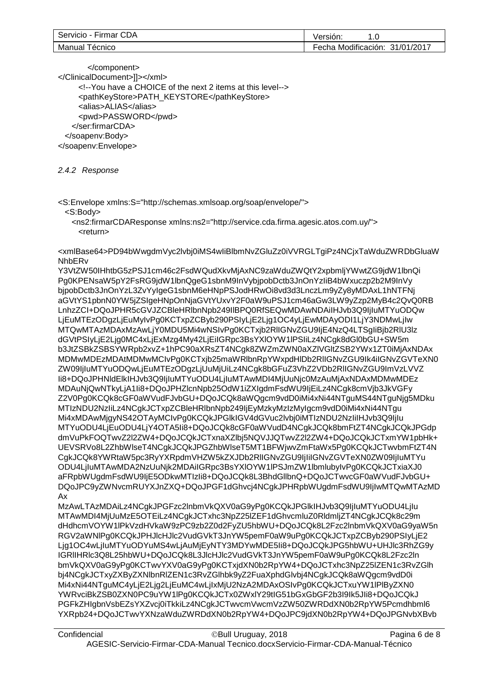| CDA<br>⌒<br>Servicio<br>Firmar | . .<br>/ersion:<br>ں.                      |
|--------------------------------|--------------------------------------------|
| Manual<br>ecnico               | Modificación:<br>1/2017<br>31/01.<br>Fecha |

</component> </ClinicalDocument>]]></xml> <!--You have a CHOICE of the next 2 items at this level--> <pathKeyStore>PATH\_KEYSTORE</pathKeyStore> <alias>ALIAS</alias> <pwd>PASSWORD</pwd> </ser:firmarCDA> </soapenv:Body> </soapenv:Envelope>

*2.4.2 Response*

<S:Envelope xmlns:S="http://schemas.xmlsoap.org/soap/envelope/"> <S:Body>

 <ns2:firmarCDAResponse xmlns:ns2="http://service.cda.firma.agesic.atos.com.uy/"> <return>

<xmlBase64>PD94bWwgdmVyc2lvbj0iMS4wIiBlbmNvZGluZz0iVVRGLTgiPz4NCjxTaWduZWRDbGluaW **NhbER<sub>v</sub>** 

Y3VtZW50IHhtbG5zPSJ1cm46c2FsdWQudXkvMjAxNC9zaWduZWQtY2xpbmljYWwtZG9jdW1lbnQi Pg0KPENsaW5pY2FsRG9jdW1lbnQgeG1sbnM9InVybjpobDctb3JnOnYzIiB4bWxuczp2b2M9InVy bjpobDctb3JnOnYzL3ZvYyIgeG1sbnM6eHNpPSJodHRwOi8vd3d3LnczLm9yZy8yMDAxL1hNTFNj aGVtYS1pbnN0YW5jZSIgeHNpOnNjaGVtYUxvY2F0aW9uPSJ1cm46aGw3LW9yZzp2MyB4c2QvQ0RB LnhzZCI+DQoJPHR5cGVJZCBleHRlbnNpb249IlBPQ0RfSEQwMDAwNDAiIHJvb3Q9IjIuMTYuODQw LjEuMTEzODgzLjEuMyIvPg0KCTxpZCByb290PSIyLjE2Ljg1OC4yLjEwMDAyODI1LjY3NDMwLjIw MTQwMTAzMDAxMzAwLjY0MDU5Mi4wNSIvPg0KCTxjb2RlIGNvZGU9IjE4NzQ4LTSgIiBjb2RlU3lz dGVtPSIyLjE2Ljg0MC4xLjExMzg4My42LjEiIGRpc3BsYXlOYW1lPSIiLz4NCgk8dGl0bGU+SW5m b3JtZSBkZSBSYWRpb2xvZ+1hPC90aXRsZT4NCgk8ZWZmZWN0aXZlVGltZSB2YWx1ZT0iMjAxNDAx MDMwMDEzMDAtMDMwMCIvPg0KCTxjb25maWRlbnRpYWxpdHlDb2RlIGNvZGU9Ik4iIGNvZGVTeXN0 ZW09IjIuMTYuODQwLjEuMTEzODgzLjUuMjUiLz4NCgk8bGFuZ3VhZ2VDb2RlIGNvZGU9ImVzLVVZ Ii8+DQoJPHNldElkIHJvb3Q9IjIuMTYuODU4LjIuMTAwMDI4MjUuNjc0MzAuMjAxNDAxMDMwMDEz MDAuNjQwNTkyLjA1Ii8+DQoJPHZlcnNpb25OdW1iZXIgdmFsdWU9IjEiLz4NCgk8cmVjb3JkVGFy Z2V0Pg0KCQk8cGF0aWVudFJvbGU+DQoJCQk8aWQgcm9vdD0iMi4xNi44NTguMS44NTguNjg5MDku MTIzNDU2NzIiLz4NCgkJCTxpZCBleHRlbnNpb249IjEyMzkyMzIzMyIgcm9vdD0iMi4xNi44NTgu Mi4xMDAwMjgyNS42OTAyMCIvPg0KCQkJPGlkIGV4dGVuc2lvbj0iMTIzNDU2NzIiIHJvb3Q9IjIu MTYuODU4LjEuODU4LjY4OTA5Ii8+DQoJCQk8cGF0aWVudD4NCgkJCQk8bmFtZT4NCgkJCQkJPGdp dmVuPkFOQTwvZ2l2ZW4+DQoJCQkJCTxnaXZlbj5NQVJJQTwvZ2l2ZW4+DQoJCQkJCTxmYW1pbHk+ UEVSRVo8L2ZhbWlseT4NCgkJCQkJPGZhbWlseT5MT1BFWjwvZmFtaWx5Pg0KCQkJCTwvbmFtZT4N CgkJCQk8YWRtaW5pc3RyYXRpdmVHZW5kZXJDb2RlIGNvZGU9IjIiIGNvZGVTeXN0ZW09IjIuMTYu ODU4LjIuMTAwMDA2NzUuNjk2MDAiIGRpc3BsYXlOYW1lPSJmZW1lbmlubyIvPg0KCQkJCTxiaXJ0 aFRpbWUgdmFsdWU9IjE5ODkwMTIzIi8+DQoJCQk8L3BhdGllbnQ+DQoJCTwvcGF0aWVudFJvbGU+ DQoJPC9yZWNvcmRUYXJnZXQ+DQoJPGF1dGhvcj4NCgkJPHRpbWUgdmFsdWU9IjIwMTQwMTAzMD Ax

MzAwLTAzMDAiLz4NCgkJPGFzc2lnbmVkQXV0aG9yPg0KCQkJPGlkIHJvb3Q9IjIuMTYuODU4LjIu MTAwMDI4MjUuMzE5OTEiLz4NCgkJCTxhc3NpZ25lZEF1dGhvcmluZ0RldmljZT4NCgkJCQk8c29m dHdhcmVOYW1lPkVzdHVkaW9zPC9zb2Z0d2FyZU5hbWU+DQoJCQk8L2Fzc2lnbmVkQXV0aG9yaW5n RGV2aWNlPg0KCQkJPHJlcHJlc2VudGVkT3JnYW5pemF0aW9uPg0KCQkJCTxpZCByb290PSIyLjE2 Ljg1OC4wLjIuMTYuODYuMS4wLjAuMjEyNTY3MDYwMDE5Ii8+DQoJCQkJPG5hbWU+UHJlc3RhZG9y IGRlIHRlc3Q8L25hbWU+DQoJCQk8L3JlcHJlc2VudGVkT3JnYW5pemF0aW9uPg0KCQk8L2Fzc2ln bmVkQXV0aG9yPg0KCTwvYXV0aG9yPg0KCTxjdXN0b2RpYW4+DQoJCTxhc3NpZ25lZEN1c3RvZGlh bj4NCgkJCTxyZXByZXNlbnRlZEN1c3RvZGlhbk9yZ2FuaXphdGlvbj4NCgkJCQk8aWQgcm9vdD0i Mi4xNi44NTguMC4yLjE2Ljg2LjEuMC4wLjIxMjU2NzA2MDAxOSIvPg0KCQkJCTxuYW1lPlByZXN0 YWRvciBkZSB0ZXN0PC9uYW1lPg0KCQkJCTx0ZWxlY29tIG51bGxGbGF2b3I9Ik5JIi8+DQoJCQkJ PGFkZHIgbnVsbEZsYXZvcj0iTkkiLz4NCgkJCTwvcmVwcmVzZW50ZWRDdXN0b2RpYW5Pcmdhbml6 YXRpb24+DQoJCTwvYXNzaWduZWRDdXN0b2RpYW4+DQoJPC9jdXN0b2RpYW4+DQoJPGNvbXBvb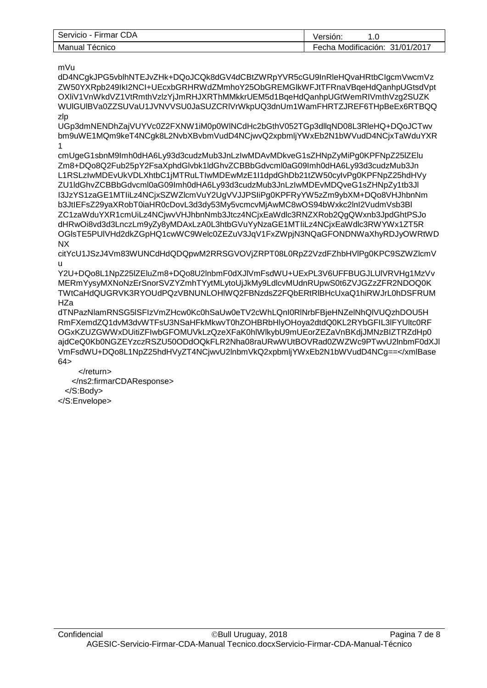| Servicio -<br>Firmar CDA | 0.5<br>Version.                      |
|--------------------------|--------------------------------------|
| Manual<br>ecnico         | Modificación:<br>31/01/2017<br>Fecha |

mVu

dD4NCgkJPG5vblhNTEJvZHk+DQoJCQk8dGV4dCBtZWRpYVR5cGU9InRleHQvaHRtbCIgcmVwcmVz ZW50YXRpb249IkI2NCI+UEcxbGRHRWdZMmhoY25ObGREMGlkWFJtTFRnaVBqeHdQanhpUGtsdVpt OXliV1VnWkdVZ1VtRmthVzlzYjJmRHJXRThMMkkrUEM5d1BqeHdQanhpUGtWemRIVmthVzg2SUZK WUlGUlBVa0ZZSUVaU1JVNVVSU0JaSUZCRlVrWkpUQ3dnUm1WamFHRTZJREF6THpBeEx6RTBQQ zlp

UGp3dmNENDhZajVUYVc0Z2FXNW1iM0p0WlNCdHc2bGthV052TGp3dllqND08L3RleHQ+DQoJCTwv bm9uWE1MQm9keT4NCgk8L2NvbXBvbmVudD4NCjwvQ2xpbmljYWxEb2N1bWVudD4NCjxTaWduYXR 1

cmUgeG1sbnM9Imh0dHA6Ly93d3cudzMub3JnLzIwMDAvMDkveG1sZHNpZyMiPg0KPFNpZ25lZElu Zm8+DQo8Q2Fub25pY2FsaXphdGlvbk1ldGhvZCBBbGdvcml0aG09Imh0dHA6Ly93d3cudzMub3Jn L1RSLzIwMDEvUkVDLXhtbC1jMTRuLTIwMDEwMzE1I1dpdGhDb21tZW50cyIvPg0KPFNpZ25hdHVy ZU1ldGhvZCBBbGdvcml0aG09Imh0dHA6Ly93d3cudzMub3JnLzIwMDEvMDQveG1sZHNpZy1tb3Jl I3JzYS1zaGE1MTIiLz4NCjxSZWZlcmVuY2UgVVJJPSIiPg0KPFRyYW5zZm9ybXM+DQo8VHJhbnNm b3JtIEFsZ29yaXRobT0iaHR0cDovL3d3dy53My5vcmcvMjAwMC8wOS94bWxkc2lnI2VudmVsb3Bl ZC1zaWduYXR1cmUiLz4NCjwvVHJhbnNmb3Jtcz4NCjxEaWdlc3RNZXRob2QgQWxnb3JpdGhtPSJo dHRwOi8vd3d3LnczLm9yZy8yMDAxLzA0L3htbGVuYyNzaGE1MTIiLz4NCjxEaWdlc3RWYWx1ZT5R OGlsTE5PUlVHd2dkZGpHQ1cwWC9Welc0ZEZuV3JqV1FxZWpjN3NQaGFONDNWaXhyRDJyOWRtWD NX

citYcU1JSzJ4Vm83WUNCdHdQDQpwM2RRSGVOVjZRPT08L0RpZ2VzdFZhbHVlPg0KPC9SZWZlcmV u

Y2U+DQo8L1NpZ25lZEluZm8+DQo8U2lnbmF0dXJlVmFsdWU+UExPL3V6UFFBUGJLUlVRVHg1MzVv MERmYysyMXNoNzErSnorSVZYZmhTYytMLytoUjJkMy9LdlcvMUdnRUpwS0t6ZVJGZzZFR2NDOQ0K TWtCaHdQUGRVK3RYOUdPQzVBNUNLOHlWQ2FBNzdsZ2FQbERtRlBHcUxaQ1hiRWJrL0hDSFRUM **HZa** 

dTNPazNlamRNSG5lSFIzVmZHcw0Kc0hSaUw0eTV2cWhLQnI0RlNrbFBjeHNZelNhQlVUQzhDOU5H RmFXemdZQ1dvM3dvWTFsU3NSaHFkMkwvT0hZOHBRbHlyOHoya2dtdQ0KL2RYbGFIL3lFYUltc0RF OGxKZUZGWWxDUitiZFIwbGFOMUVkLzQzeXFaK0hlWlkybU9mUEorZEZaVnBKdjJMNzBIZTRZdHp0 ajdCeQ0Kb0NGZEYzczRSZU50ODdOQkFLR2Nha08raURwWUtBOVRad0ZWZWc9PTwvU2lnbmF0dXJl VmFsdWU+DQo8L1NpZ25hdHVyZT4NCjwvU2lnbmVkQ2xpbmljYWxEb2N1bWVudD4NCg==</xmlBase  $64 >$ 

 </return> </ns2:firmarCDAResponse> </S:Body> </S:Envelope>